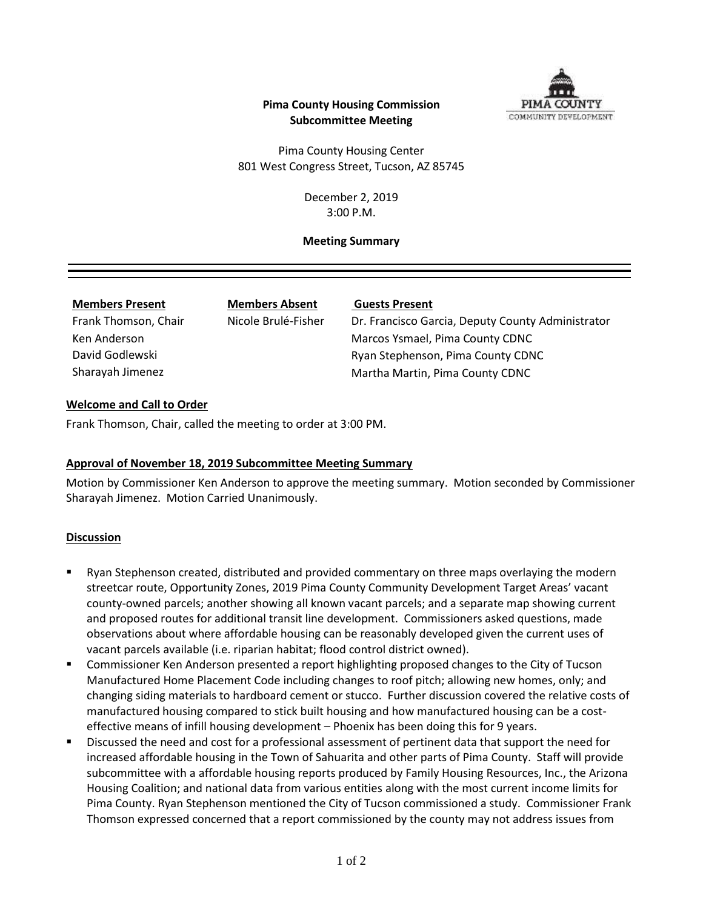

## **Pima County Housing Commission Subcommittee Meeting**

Pima County Housing Center 801 West Congress Street, Tucson, AZ 85745

> December 2, 2019 3:00 P.M.

#### **Meeting Summary**

| <b>Members Present</b> |
|------------------------|
| Frank Thomson, Chair   |
| Ken Anderson           |
| David Godlewski        |
| Sharayah Jimenez       |

**Members Present Members Absent Guests Present**

Nicole Brulé-Fisher Dr. Francisco Garcia, Deputy County Administrator Marcos Ysmael, Pima County CDNC Ryan Stephenson, Pima County CDNC Martha Martin, Pima County CDNC

## **Welcome and Call to Order**

Frank Thomson, Chair, called the meeting to order at 3:00 PM.

## **Approval of November 18, 2019 Subcommittee Meeting Summary**

Motion by Commissioner Ken Anderson to approve the meeting summary. Motion seconded by Commissioner Sharayah Jimenez. Motion Carried Unanimously.

## **Discussion**

- Ryan Stephenson created, distributed and provided commentary on three maps overlaying the modern streetcar route, Opportunity Zones, 2019 Pima County Community Development Target Areas' vacant county-owned parcels; another showing all known vacant parcels; and a separate map showing current and proposed routes for additional transit line development. Commissioners asked questions, made observations about where affordable housing can be reasonably developed given the current uses of vacant parcels available (i.e. riparian habitat; flood control district owned).
- Commissioner Ken Anderson presented a report highlighting proposed changes to the City of Tucson Manufactured Home Placement Code including changes to roof pitch; allowing new homes, only; and changing siding materials to hardboard cement or stucco. Further discussion covered the relative costs of manufactured housing compared to stick built housing and how manufactured housing can be a costeffective means of infill housing development – Phoenix has been doing this for 9 years.
- Discussed the need and cost for a professional assessment of pertinent data that support the need for increased affordable housing in the Town of Sahuarita and other parts of Pima County. Staff will provide subcommittee with a affordable housing reports produced by Family Housing Resources, Inc., the Arizona Housing Coalition; and national data from various entities along with the most current income limits for Pima County. Ryan Stephenson mentioned the City of Tucson commissioned a study. Commissioner Frank Thomson expressed concerned that a report commissioned by the county may not address issues from